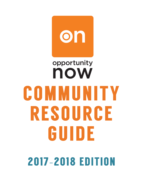# on opportunity now COMMUNITY RESOURCE GUIDE 2017-2018 EDITION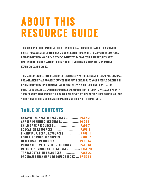### ABOUT THIS RESOURCE GUIDE

THIS RESOURCE GUIDE WAS DEVELOPED THROUGH A PARTNERSHIP BETWEEN THE NASHVILLE CAREER ADVANCEMENT CENTER (NCAC) AND ALIGNMENT NASHVILLE TO SUPPORT THE MAYOR'S OPPORTUNITY NOW YOUTH EMPLOYMENT INITIATIVE BY CONNECTING OPPORTUNITY NOW EMPLOYMENT COACHES WITH RESOURCES TO HELP YOUTH SUCCEED IN THEIR WORKFORCE EXPERIENCE AND BEYOND.

THIS GUIDE IS DIVIDED INTO SECTIONS OUTLINED BELOW WITH LISTINGS FOR LOCAL AND REGIONAL ORGANIZATIONS THAT PROVIDE SERVICES THAT MAY BE HELPFUL TO YOUNG PEOPLE ENROLLED IN OPPORTUNITY NOW PROGRAMMING. WHILE SOME SERVICES AND RESOURCES WILL ALIGN DIRECTLY TO COLLEGE & CAREER READINESS BENCHMARKS THAT STUDENTS WILL ACHIEVE WITH THEIR COACHES THROUGHOUT THEIR WORK EXPERIENCE, OTHERS ARE INCLUDED TO HELP YOU AND YOUR YOUNG PEOPLE ADDRESS BOTH ONGOING AND UNEXPECTED CHALLENGES.

### TABLE OF CONTENTS

| <b>BEHAVIORAL HEALTH RESOURCES  PAGE 2</b>        |
|---------------------------------------------------|
| <b>CAREER PLANNING RESOURCES  PAGE 5</b>          |
| CHILD CARE RESOURCES  PAGE 7                      |
| EDUCATION RESOURCES  PAGE 8                       |
| FINANCIAL & LEGAL RESOURCES  PAGE 11              |
| FOOD & HOUSING RESOURCES  PAGE 12                 |
| HEALTHCARE RESOURCES  PAGE 14                     |
| <b>PERSONAL DEVELOPMENT RESOURCES  PAGE 18</b>    |
| <b>REFUGEE &amp; IMMIGRANT RESOURCES  PAGE 20</b> |
| <b>TRANSPORTATION RESOURCES  PAGE 22</b>          |
| <b>PROGRAM BENCHMARK RESOURCE INDEX  PAGE 23</b>  |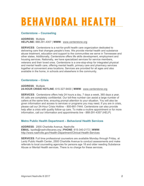### BEHAVIORAL HEALTH

#### **Centerstone – Counseling**

**ADDRESS**: Multiple **HELPLINE:** 888.291.4357 | **WWW**: www.centerstone.org

**SERVICES**: Centerstone is a not-for-profit health care organization dedicated to delivering care that changes people's lives. We provide mental health and substance abuse treatment, education and support to the communities we serve in Tennessee and other states. Additionally, Centerstone offers life skills development, employment and housing services. Nationally, we have specialized services for service members, veterans and their loved ones. Centerstone is a one-stop-shop for integrated physical and mental health care, offering mental health, primary care and pharmacy services together at convenient area locations. Services are provided for all ages and also available in the home, in schools and elsewhere in the community.

#### **Centerstone – Crisis**

**ADDRESS**: Multiple **24-HOUR CRISIS HOTLINE**: 615-327-9400 | **WWW**: www.centerstone.org

**SERVICES**: Centerstone offers help 24 hours a day, 7 days a week, 365 days a year. All calls are completely confidential. Our toll-free number can assist a large number of callers at the same time, ensuring prompt attention to your situation. You will also be given information and access to services or programs you may need. If you are in crisis, please call our 24-Hour Crisis Hotline – 800-681-7444. Centerstone can also provide help after a crisis with quality follow-up care. To make a routine appointment or for more information, call our information and appointments line - 888-291-4357 (HELP)

#### **Metro Public Health Department – Behavioral Health Services**

**ADDRESS**: 2500 Charlotte Avenue, Nashville **EMAIL**: kpotts@nashvillecares.org | **PHONE**: 615-340-2172 | **WWW**: http://www.nashville.gov/Health-Department/Clinical-Health-Services

**SERVICES**: Full time professional counselors are available Monday through Friday, at Lentz Public Health Center, 2500 Charlotte Avenue to conduct assessments and make referrals to local counseling agencies for persons age 18 and older needing Substance Abuse or Mental Health services. There is no charge for these services.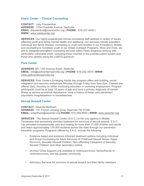#### **Oasis Center – Clinical Counseling**

**CONTACT**: Judy Freudenthal **ADDRESS**: 1704 Charlotte Avenue, Nashville **EMAIL**: jfreudenthal@oasiscenter.org | **PHONE**: 615-327-4455 | **WWW**: www.oasiscenter.org

**SERVICES**: Our highly-experienced clinical counseling staff address a variety of issues affecting youth and family mental health and wellbeing. Our services include outpatient individual and family therapy, counseling to youth and families in our Emergency Shelter, and counseling to homeless youth in our Street Outreach Programs. More and more, we aim to integrate/strengthen counseling services within Oasis programs working with particularly vulnerable youth, including those involved in the juvenile justice system and those who identify along the LGBTQ spectrum.

#### **Park Center**

**ADDRESS**: 801 12th Avenue South, Nashville **EMAIL**: info@parkcenternashville.org | **PHONE**: 615-242-3576 | **WWW**: www.parkcenternashville.org

**SERVICES:** Park Center's Emerging Adults day program offers skill building, social integration and recovery workshops, Monday through Friday from 9am-3pm. Classes are offered daily, focusing on either continuing education or pursuing employment. Program participants must be at least 18 years of age and have a primary diagnosis of mental illness or serious emotional disturbance; have a history of foster care placement, psychiatric hospitalizations or homelessness.

#### **Sexual Assault Center**

**CONTACT:** Amanda Markham **ADDRESS**: 101 French Landing Drive, Nashville TN 37228 **EMAIL:** amarkham@sacenter.org **PHONE**: 615-259-9055 | **WWW**: www.sacenter.org

**SERVICES**: The Sexual Assault Center (S.A.C.) is the only agency in Middle Tennessee that exclusively provides treatment for survivors of sexual assault. S.A.C. has provided compassionate care and healing for more than 21,000 children and adults and reach approximately 170,000 students across the state through our prevention education programs. Programs offered by S.A.C. include the following:

- Evidence based and evidence informed treatment options including Individual and Group Counseling for Adult Survivors of Childhood Sexual Abuse, Rape Survivors, Sexually Abused Children, Non-offending Caregivers of Sexually Abused Children, and other secondary victims.
- 24-Hour Crisis Support Line available to victims/survivors, family/friends of victims/survivors, and the greater community.
- Advocacy Services for survivors of sexual assault and their family members.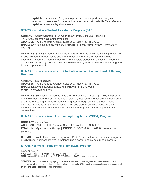• Hospital Accompaniment Program to provide crisis support, advocacy and connection to resources for rape victims who present at Nashville Metro General Hospital for a medical legal rape exam.

#### **STARS Nashville - Student Assistance Program (SAP)**

**CONTACT**: Sandy Schmahl, 1704 Charlotte Avenue, Suite 200, Nashville, TN 37203, sschmahl@starsnashville.org **ADDRESS**: 1704 Charlotte Avenue, Suite 200, Nashville, TN 37203 **EMAIL**: sschmahl@starsnashville.org | **PHONE**: 615-983-6808 | **WWW**: www.starssap.org

**SERVICES**: STARS Student Assistance Program (SAP) is an award-winning, evidencebased program that addresses social and emotional barriers for youth, such as substance abuse, violence and bullying. SAP assists students in achieving academic and social success by promoting healthy development, reducing barriers to learning and building upon strengths.

#### **STARS Nashville - Services for Students who are Deaf and Hard of Hearing Program**

**CONTACT**: Laura Ballard **ADDRESS**: 1704 Charlotte Avenue, Suite 200, Nashville, TN 37203 **EMAIL**: llekowicz@starsnashville.org | **PHONE**: 615-279-0058 | **WWW**: www.stars.dhh.org

**SERVICES**: Services for Students Who are Deaf or Hard of Hearing (DHH) is a program of STARS designed to prevent the use of alcohol, tobacco and other drugs among deaf and hard-of-hearing individuals from kindergarten through early adulthood. These students are naturally at a higher risk for drug and alcohol abuse because of their increased difficulties with communication, isolation, depression, learning and family connections.

#### **STARS Nashville - Youth Overcoming Drug Abuse (YODA) Program**

#### **CONTACT**: James Bush

**ADDRESS**: 1704 Charlotte Avenue, Suite 200, Nashville, TN 37203 **EMAIL:** jbush@starsnashville.org | **PHONE:** 615-983-6803 | **WWW:** www.starsyoda.org

**SERVICES**: Youth Overcoming Drug Abuse (YODA) is an intensive outpatient program of STARS for adolescents with substance use disorder and co-occurring disorders.

#### **STARS Nashville - Kids of the Block (KOB) Program**

**CONTACT**: Sandy Schmahl **ADDRESS**: 1704 Charlotte Avenue, Suite 200, Nashville, TN 37203 **EMAIL**: sschmahl@starsnashville.org | **PHONE**: 615-983-6808 | **WWW:** www.stars-kob.org

**SERVICES**: Kids on the Block (KOB), a program of STARS, educates students in grades K-4 about health and social concerns that affect their lives. Using puppets and other teaching tools, KOB promotes understanding and acceptance of all children and adults, regardless of their differences.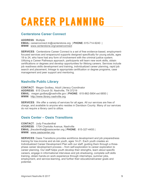### CAREER PLANNING

#### **Centerstone Career Connect**

**ADDRESS**: Multiple **EMAIL:** careerconnect.tn@centerstone.org | **PHONE:** 615-714-9240 | **WWW**: www.centerstone.org/careerconnect

**SERVICES**: Centerstone Career Connect is a set of free evidence-based, employmentfocused services and wraparound supports designed specifically for young adults, ages 18 to 24, who have had any form of involvement with the criminal justice system. Utilizing a Career Pathways approach, participants will learn new work skills, obtain certifications or degrees and develop opportunities for lifelong careers. Services include job readiness skills development and training, individualized career planning, rapid job search and placement, linkage to appropriate certification or degree programs, case management and peer support and mentoring.

#### **Nashville Public Library**

**CONTACT**: Megan Godbey, Adult Literacy Coordinator **ADDRESS**: 615 Church St. Nashville, TN 37219 **EMAIL**: megan.godbey@nashville.gov | **PHONE**: 615-862-5804 ext 6850 | **WWW**: http://www.library.nashville.org

**SERVICES**: We offer a variety of services for all ages. All our services are free of charge, and available to anyone who resides in Davidson County. Many of our services do not require a library card to utilize.

#### **Oasis Center – Oasis Transitions**

**CONTACT**: Judy Freudenthal **ADDRESS**: 1704 Charlotte Avenue, Nashville **EMAIL**: jfreudenthal@oasiscenter.org | **PHONE**: 615-327-4455 | **WWW**: www.oasiscenter.org

**SERVICES**: Oasis Transitions provides workforce development and job preparedness training for low-income and at-risk youth, ages 14-21. Each youth creates an Individualized Career Development Plan with our staff, guiding them through a threephase career development process – from self-exploration to career exploration to career planning. Our staff helps youth develop their strengths, learn about specific careers, engage in informational interviews and job shadowing, complete soft skills training, obtain hands-on work experience through internships, summer jobs, employment, and service-learning, and further their educational/career goals and potential.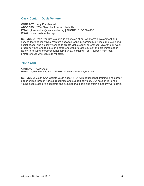#### **Oasis Center – Oasis Venture**

**CONTACT**: Judy Freudenthal **ADDRESS**: 1704 Charlotte Avenue, Nashville **EMAIL**: jfreudenthal@oasiscenter.org | **PHONE**: 615-327-4455 | **WWW**: www.oasiscenter.org

**SERVICES**: Oasis Venture is a unique extension of our workforce development and service-learning initiatives, Venture engages teens in learning business skills, exploring social needs, and actually working to create viable social enterprises. Over the 15-week program, youth engage into an entrepreneurship "crash course" and are immersed in Nashville thriving entrepreneurial community, including 1-on-1 support from local entrepreneurs who serve as mentors.

#### **Youth CAN**

**CONTACT**: Kelly Adler **EMAIL**: kadler@mchra.com | **WWW:** www.mchra.com/youth-can

**SERVICES**: Youth CAN assists youth ages 16–24 with educational, training, and career opportunities through various resources and support services. Our mission is to help young people achieve academic and occupational goals and attain a healthy work ethic.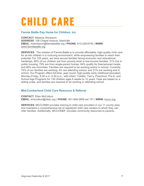## CHILD CARE

#### **Fannie Battle Day Home for Children, Inc**

**CONTACT**: Melanie Shinbaum **ADDRESS**: 108 Chapel Avenue, Nashville **EMAIL**: mshinbaum@fanniebattle.org | **PHONE**: 615-228-6745 | **WWW**: www.fanniebattle.org

**SERVICES**: The mission of Fannie Battle is to provide affordable, high-quality child care for at-risk children in a nurturing environment, while empowering families to reach their potential. For 125 years, we have served families facing economic and educational hardships. 90% of our children are from poverty level or low-income families; 31% live in public housing; 79% are from single-parent homes; 94% qualify for free/reduced meals; and 86% are minorities. Families are required to be working and/or in school. Currently, 75% of our families are working; 4% are attending school; and 21% are working and in school. Our Program offers full-time, year-round, high-quality early childhood education, Monday-Friday, 6:30 a.m.-5:30 p.m., with Infant, Toddler, Two's, Preschool, Pre-K, and School-Age Programs for 130 children ages 6 weeks to 12 years. Fees are based on a sliding scale, and families are required to be working or attending school.

#### **Mid-Cumberland Child Care Resource & Referral**

**CONTACT**: Ellen McCollum

**EMAIL**: emccollum@dsdc.org | **PHONE**: 931-648-3695 ext 101 | **WWW**: tnccrr.org

**SERVICES**: MCCCR&R provides training to child care providers in our 11 county area and maintains a comprehensive list of registered child care centers to which they can refer families. Additionally, MCCCR&R provides community resources to parents.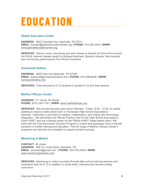### EDUCATION

#### **Global Education Center**

**ADDRESS**: 4822 Charlotte Ave. Nashville, TN 37211 **EMAIL**: morgan@globaleducationcenter.org | **PHONE**: 615.292.3023 | **WWW**: www.globaleducationcenter.org

**SERVICES**: Dance, music, drumming and arts classes of diverse art forms from around the World; several classes taught by bilingual teachers; Spanish classes; free concerts and community performances from World musicians.

#### **Homework Hotline**

**ADDRESS**: 4805 Park Ave Nashville, TN 37209 **EMAIL**: adrianne@homeworkhotline.info | **PHONE**: 615-298-6636 | **WWW**: homeworkhotline.info

**SERVICES**: Free tutoring for K-12 students in grades K-12 and their parents.

#### **Martha O'Bryan Center**

**ADDRESS**: 711 South 7th Street **PHONE**: (615) 254-1791 | **WWW**: www.marthaobryan.org

**SERVICES**: We provide services year-round, Monday - Friday, 8:30 - 12:30, for adults seeking to improve skills and/or earn a Tennessee High School Equivalency Diploma. Instruction is provided in reading, mathematics, and writing with technology integration. We administer the Official Practice Test for the High School Equivalency Exam HiSET and are a testing center for the Official HiSET Paper-based exam. We work with the Post-Secondary Success Program to insure that graduates have a smooth transition to further training and education. The full range of Martha O'Bryan Center's programs and services are available to support student success.

#### **Mentoring in Motion**

**CONTACT**: Jill Jones ADDRESS: 469 10<sup>th</sup> Circle North, Nashville, TN **EMAIL**: rpmtutors@gmail.com | **PHONE**: 404-723-5384 | **WWW**: www.mentoringinmotion.com

**SERVICES**: Mentoring in motion provides Provide after school tutoring services and homework help for K-12 in addition to social skills, interview and resume writing curriculum.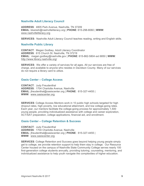#### **Nashville Adult Literacy Council**

**ADDRESS**: 4805 Park Avenue, Nashville, TN 37209 **EMAIL**: kkaresh@nashvilleliteracy.org | **PHONE**: 615-298-8060 | **WWW**: www.nashvilleliteracy.org

**SERVICES**: Nashville Adult Literacy Council teaches reading, writing and English skills.

#### **Nashville Public Library**

**CONTACT**: Megan Godbey, Adult Literacy Coordinator **ADDRESS**: 615 Church St. Nashville, TN 37219 **EMAIL**: megan.godbey@nashville.gov | **PHONE**: 615-862-5804 ext 6850 | **WWW**: http://www.library.nashville.org/

**SERVICES**: We offer a variety of services for all ages. All our services are free of charge, and available to anyone who resides in Davidson County. Many of our services do not require a library card to utilize.

#### **Oasis Center – College Access**

**CONTACT**: Judy Freudenthal **ADDRESS**: 1704 Charlotte Avenue, Nashville **EMAIL**: jfreudenthal@oasiscenter.org | **PHONE**: 615-327-4455 | **WWW**: www.oasiscenter.org

**SERVICES**: College Access Mentors work in 10 public high schools targeted for high dropout rates, high poverty, low educational attainment, and low college-going rates. Each year, our mentors facilitate the college-going process for approximately 1,500 young people, providing individualized assistance with college and career exploration, ACT/SAT preparation, college applications, financial aid, and enrollment.

#### **Oasis Center – College Retention & Success**

**CONTACT**: Judy Freudenthal **ADDRESS**: 1704 Charlotte Avenue, Nashville **EMAIL**: jfreudenthal@oasiscenter.org | **PHONE**: 615-327-4455 | **WWW**: www.oasiscenter.org

**SERVICES**: College Retention and Success goes beyond helping young people simply get to college, we provide retention support to help them stay in college. Our Resource Center housed on the campus of Nashville State Community College serves nearly 100 first-generation college students annually, providing tutoring, counseling, mentoring, and individualized assistance to help youth navigate the complexities of higher education.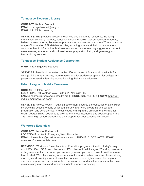#### **Tennessee Electronic Library**

**CONTACT:** Kathryn Bennett **EMAIL:** Kathryn.bennett@tn.gov **WWW:** http:// tntel.tnsos.org

**SERVICES**: TEL provides access to over 400,000 electronic resources, including magazines, scholarly journals, podcasts, videos, e-books, test preparation materials, federal census records, Tennessee primary source materials, and more! There is a wide range of information TEL databases offer, including homework help to new readers, consumer health information, business resources, leisure reading suggestions, current event essays, academic and civil service test preparation help, and genealogy and family history sources.

#### **Tennessee Student Assistance Corporation**

**WWW:** http://tn.gov/collegepays

**SERVICES**: Provides information on the different types of financial aid available for college, links to applications, requirements, and for students preparing for college and parents interested in learning about financing their child's education.

#### **Urban League of Middle Tennessee**

**CONTACT:** Clifton Harris **LOCATIONS:** 50 Vantage Way, Suite 201, Nashville, TN **EMAIL:** charris@urbanleagueofmidtn.org | **PHONE:** 615-254-0525 | **WWW**: https://ulmdtn.iamempowered.com/

**SERVICES**: Project Ready - Youth Empowerment ensures the education of all children by providing access to early childhood literacy, after-care programs and college preparation and scholarships. Project Ready is a signature program of the National Urban League (NUL) designed to provide enhanced academic and social support to 9- 12th grade high school students as they prepare for post-secondary success.

#### **Workforce Essentials**

**CONTACT:** Jennifer Kleinschmit **LOCATIONS:** Antioch, Rivergate, West Nashville **EMAIL:** jkleinschmit@workforceessentials.com | **PHONE:** 615-761-6073 | **WWW**: www.workforceessentials.com

**SERVICES**: Workforce Essentials Adult Education program is ideal for today's busy adult. We offer HiSET prep classes and ESL classes to adults ages 17 and up. We have rolling enrollment so that when you are ready to start you do not have to wait for a new term to start. We offer a variety of schedule options with both on campus classes during mornings and evenings, as well as online courses for our higher levels. To help our students prepare, we use individualized, whole group, and small group instruction. We provide study materials and resources to help prepare for testing.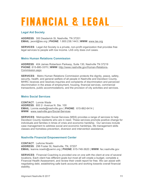### FINANCIAL & LEGAL

#### **Legal Aid Society**

**ADDRESS**: 300 Deaderick St, Nashville, TN 37201 **EMAIL**: jword@las.org | **PHONE**: 1.800.238.1443 | **WWW**: www.las.org

**SERVICES**: Legal Aid Society is a private, non-profit organization that provides free legal services to people with low income. LAS only does civil cases.

#### **Metro Human Relations Commission**

**ADDRESS**: 404 James Robertson Parkway, Suite 130, Nashville TN 37219 **PHONE**: 615-880-3370 | **WWW**: http://www.nashville.gov/Human-Relations-Commission.aspx

**SERVICES**: Metro Human Relations Commission protects the dignity, peace, safety, security, health, and general welfare of all people in Nashville and Davidson County. MHRC receives and resolves inquiries and complaints of discrimination and perceived discrimination in the areas of employment, housing, financial services, commercial transactions, public accommodations, and the provision of city activities and services.

#### **Metro Social Services**

**CONTACT**: Lonnie Wade **ADDRESS: 800 2<sup>nd</sup> Avenue N. Ste. 100 EMAIL**: Lonnie.wade@nashville.gov | **PHONE**: 615-862-6414 | **WWW**: www.nashville.gov/Social-Services

**SERVICES**: Metropolitan Social Services (MSS) provides a range of services to help Davidson County residents who are in need. These services promote positive change for individuals and families in times of crisis and economic hardship. Our services include case management to address social and economic hardships, life management skills classes and homeless prevention, diversion and intervention assistance.

#### **Nashville Financial Empowerment Center**

**CONTACT**: LeAnne Nowlin **ADDRESS**: 298 Foster St, Nashville, TN, 37207 **EMAIL**: leanne.nowlin@uwmn.org | **PHONE**: 615-748-3620 | **WWW**: fec.nashville.gov

**SERVICES**: Financial Coaching is provided one on one with the client at one of several locations. Each client has different goals but most all will create a budget, complete a Financial Health Assessment, and review their credit report for free. We can assist with negotiating debt, establishing safe bank accounts and working towards overall financial stability.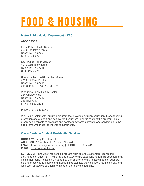### FOOD & HOUSING

#### **Metro Public Health Department – WIC**

#### **ADDRESSES:**

Lentz Public Health Center 2500 Charlotte Avenue Nashville, TN 37209 (615) 340-5616

East Public Health Center 1015 East Trinity Lane Nashville, TN 37216 (615) 862-7916

South Nashville WIC Nutrition Center 3718 Nolensville Pike Nashville, TN 37211 615-880-3210 FAX 615-880-3211

Woodbine Public Health Center 224 Oriel Avenue Nashville, TN 37210 615-862-7940 FAX 615-880-2194

#### **PHONE: 615-340-5616**

WIC is a supplemental nutrition program that provides nutrition education, breastfeeding promotion and support and healthy food vouchers to participants of the program. This program is available to pregnant and postpartum women, infants, and children up to the age of five who meet the income requirements.

#### **Oasis Center – Crisis & Residential Services**

**CONTACT**: Judy Freudenthal **ADDRESS**: 1704 Charlotte Avenue, Nashville **EMAIL**: jfreudenthal@oasiscenter.org | **PHONE**: 615-327-4455 | **WWW**: www.oasiscenter.org

**SERVICES**: A two-week residential program (with extensive aftercare counseling) serving teens, ages 13-17, who have run away or are experiencing familial stressors that inhibit their ability to live safely at home. Our Shelter offers a holistic model of support, helping these young people and their families stabilize their situation, reunite safely, and long-term strategies solutions to mitigate future crisis situations.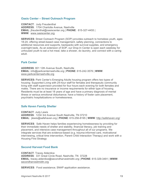#### **Oasis Center – Street Outreach Program**

**CONTACT**: Judy Freudenthal **ADDRESS**: 1704 Charlotte Avenue, Nashville **EMAIL**: jfreudenthal@oasiscenter.org | **PHONE**: 615-327-4455 | **WWW**: www.oasiscenter.org

**SERVICES**: Street Outreach Program (SOP) provides outreach to homeless youth, ages 18-24, offering street-based case management, safety planning, connections to additional resources and supports, backpacks with survival supplies, and emergency overnight beds. As an extension of SOP, our Drop-In Center is open each weekday for unhoused youth to eat a hot meal, take a shower, do laundry, and connect with a caring adult.

#### **Park Center**

**ADDRESS**: 801 12th Avenue South, Nashville **EMAIL**: info@parkcenternashville.org | **PHONE**: 615-242-3576 | **WWW**: www.parkcenternashville.org

**SERVICES:** Park Center's Emerging Adults housing program offers two types of housing: Supported Living with 24-hour staff for females and therapeutic community living with staff supervision provided for four hours each evening for both females and males. There are no insurance or income requirements for either type of housing. Residents must be at least 18 years of age and have a primary diagnosis of mental illness or serious emotional disturbance; have a history of foster care placement, psychiatric hospitalizations or homelessness.

#### **Safe Haven Family Shelter**

**CONTACT**: Judy Lewis **ADDRESS**: 1234 3rd Avenue South Nashville, TN 37210 **EMAIL**: jlewis@safehaven.org | **PHONE**: 615-256-8195 | **WWW**: http://safehaven.org/

**SERVICES**: Safe Haven helps families experiencing homelessness by providing for their immediate needs of shelter and stability, financial literacy, job training and placement, and intensive case management throughout all of our programs. We integrate services that are evidence-based (e.g. trauma-informed care, motivational interviewing, critical time intervention, Parent Child Interaction Therapy) and work with a Housing First Strategy

#### **Second Harvest Food Bank**

**CONTACT**: Tracey Alderdice **ADDRESS**: 331 Great Circle Road, Nashville, TN 37228 **EMAIL**: tracey.alderdice@secondharvestmidtn.org | **PHONE**: 615-329-3491 | **WWW**: secondharvestmidtn.org

**SERVICES**: Food assistance; SNAP application assistance.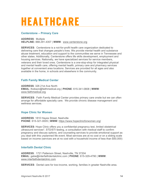### HEALTHCARE

#### **Centerstone – Primary Care**

**ADDRESS**: Multiple **HELPLINE:** 888.291.4357 | **WWW**: www.centerstone.org

**SERVICES**: Centerstone is a not-for-profit health care organization dedicated to delivering care that changes people's lives. We provide mental health and substance abuse treatment, education and support to the communities we serve in Tennessee and other states. Additionally, Centerstone offers life skills development, employment and housing services. Nationally, we have specialized services for service members, veterans and their loved ones. Centerstone is a one-stop-shop for integrated physical and mental health care, offering mental health, primary care and pharmacy services together at convenient area locations. Services are provided for all ages and also available in the home, in schools and elsewhere in the community.

#### **Faith Family Medical Center**

**ADDRESS**: 326 21st Ave North **EMAIL**: lhobson@faithmedical.org | **PHONE**: 615-341-0808 | **WWW**: www.faithmedical.org

**SERVICES**: Faith Family Medical Center provides primary care onsite but we can often arrange for affordable specialty care. We provide chronic disease management and wellness services.

#### **Hope Clinic for Women**

**ADDRESS**: 1810 Hayes Street, Nashville **PHONE**: 615-321-0005 | **WWW**: https://www.hopeclinicforwomen.org/

**SERVICES**: Hope Clinic offers you a confidential pregnancy test, limited obstetrical ultrasound services\*, STD/STI testing, a consultation with medical staff to confirm pregnancy and discuss options, and counseling services to provide emotional support as you deal with this unplanned life event. Most services are at no cost or on a sliding scale based on income (services are at no cost with a household income of less than \$50,000)

#### **Interfaith Dental Clinic**

**ADDRESS**: 1721 Patterson Street, Nashville, TN 37204 **EMAIL**: gabe@interfaithdentalclinic.com | **PHONE**: 615-329-4790 | **WWW**: www.interfaithdentalclinic.com

**SERVICES**: Dental care for low-income, working, families in greater Nashville area.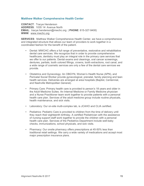#### **Matthew Walker Comprehensive Health Center**

**CONTACT**: Tracye Henderson **ADDRESS: 1035 14th Avenue North EMAIL**: tracye.henderson@mwchc.org | **PHONE**: 615-327-9400| **WWW**: www.mwchc.org

**SERVICES**: Matthew Walker Comprehensive Health Center, we have a comprehensive and integrated structure that allows our team of providers to work together in a coordinated fashion for the benefit of the patient.

- Dental: MWCHC offers a full range of preventative, restorative and rehabilitative dental care services. We recognize that in order to provide comprehensive healthcare, dentistry must play an integral role in the primary care services that we offer to our patients. Dental exams and cleanings, oral cancer screenings, dentures, partials, tooth colored fillings, crowns, tooth extractions, root canal, and a wide range of cosmetic services are only a few of the dental care services we provide.
- Obstetrics and Gynecology: An OBGYN, Women's Health Nurse (APN), and Perinatal Social Worker provide gynecological, prenatal, family planning and teen health services. Deliveries are arranged at area hospitals (Baptist, Centennial, and Nashville Metropolitan General).
- Primary Care: Primary health care is provided to person's 18 years and older in the Adult Medicine Suites. An Internal Medicine or Family Medicine physician and a Nurse Practitioner team work together to provide patients with a personal health care plan. Services of the adult medicine group include routine physicals, health maintenance, and sick visits.
- Laboratory: Our on-site multi-complex lab, is JCAHO and CLIA certified.
- Pediatrics: Pediatric Care is provided to children from the time of delivery until they reach their eighteenth birthday. A certified Pediatrician with the assistance of nursing support staff work together to provide the children with a personal health care plan. Services of the Pediatrics Department include well-baby checks, immunizations, school physicals, and sick visits.
- Pharmacy: Our onsite pharmacy offers prescriptions at 45-50% less than traditional retail settings. We carry a wide variety of medications and accept most major prescription insurance plans.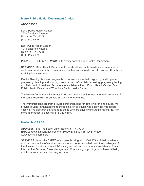#### **Metro Public Health Department Clinics**

#### **ADDRESSES:**

Lentz Public Health Center 2500 Charlotte Avenue Nashville, TN 37209 (615) 340-5616

East Public Health Center 1015 East Trinity Lane Nashville, TN 37216 (615) 862-7916

**PHONE:** 615-340-5616 **| WWW:** http://www.nashville.gov/Health-Department

**SERVICES:** Metro Health Department operates three public health care preventative centers provide a variety of preventive health services to citizens of Davidson County on a sliding fee scale basis.

Family Planning Services program is to prevent unintended pregnancy and improve pregnancy planning and spacing. We provide confidential counseling, pregnancy testing, and birth control services. Services are available at Lentz Public Health Center, East Public Health Center, and Woodbine Public Health Center.

The Health Department Pharmacy is located on the first floor near the main entrance of the Lentz Public Health Center, 2500 Charlotte Avenue.

The Immunizations program provides immunizations for both children and adults. We provide routine immunizations to those children or adults who qualify for free federal vaccine. We also provide vaccine to those who are privately insured for a charge. For more information, please call 615-340-5607.

#### **Nashville CARES**

**ADDRESS**: 633 Thompson Lane, Nashville, TN 37204 **EMAIL**: kpotts@nashvillecares.org | **PHONE**: 1-800-845-4266 | **WWW**: www.nashvillecares.org

**SERVICES**: Nashville CARES offers people living with HIV/AIDS and their families a unique combination of services, resources and referrals to help with the challenges of the disease. Services include HIV testing and education, insurance assistance, Early Intervention Services, Case Management, Counseling, support groups, financial help, nutritional services, and housing services.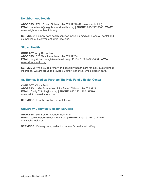#### **Neighborhood Health**

**ADDRESS**: 2711 Foster St. Nashville, TN 37210 (Business, not clinic) **EMAIL**: mbufwack@neighborhoodhealthtn.org | **PHONE**: 615-227-3000 | **WWW**: www.neighborhoodhealthtn.org

**SERVICES**: Primary care health services including medical, prenatal, dental and counseling at 8 convenient clinic locations.

#### **Siloam Health**

**CONTACT**: Amy Richardson **ADDRESS**: 820 Gale Lane, Nashville, TN 37204 **EMAIL**: amy.richardson@siloamhealth.org | **PHONE**: 625-298-5406 | **WWW**: www.siloamhealth.org

**SERVICES**: We provide primary and specialty health care for individuals without insurance. We are proud to provide culturally-sensitive, whole person care.

#### **St. Thomas Medical Partners The Holy Family Health Center**

**CONTACT**: Cindy Smith **ADDRESS**: 4928 Edmondson Pike Suite 205 Nashville, TN 37211 **EMAIL**: Cindy.T.Smith@sth.org | **PHONE**: 615.222.1400 | **WWW**: www.saintthomasdoctors.com

**SERVICES: Family Practice, prenatal care.** 

#### **University Community Health Services**

**ADDRESS**: 601 Benton Avenue, Nashville **EMAIL**: caroline.portis@uchshealth.org | **PHONE**: 615-292-9770 | **WWW**: www.uchshealth.org

**SERVICES**: Primary care, pediatrics, women's health, midwifery.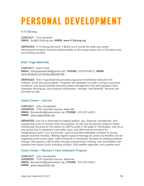### PERSONAL DEVELOPMENT

#### **4:13 Strong**

**CONTACT**: Time Queener **EMAIL**: tim@413strong.org | **WWW**: www.413strong.org

**SERVICES**: 4:13 Strong (formerly Y-Build) is a 6 month life skills and career development program focused predominately on the young urban men of Davidson and surrounding counties.

#### **Kids' Yoga Nashville**

**CONTACT**: Ayah Freed **EMAIL**: kidsyoganashville@gmail.com | **PHONE**: 615-578-8873 | **WWW**: www.facebook.com/kidsyoganashville

**SERVICES**: Kids' Yoga Nashville provides yoga and mindfulness instruction for children, youth and young adults. Programs are designed to confer a range of physical, emotional, and social benefits including stress-management and self-regulation tools, relaxation techniques, and physical coordination, strength, and flexibility. Services are provided on site.

#### **Oasis Center – Just Us**

**CONTACT**: Judy Freudenthal **ADDRESS**: 1704 Charlotte Avenue, Nashville **EMAIL**: jfreudenthal@oasiscenter.org | **PHONE**: 615-327-4455 | **WWW**: www.oasiscenter.org

**SERVICES**: Just Us is dedicated to helping lesbian, gay, bisexual, transgender, and questioning youth to achieve their full potential. As the only full service program model intentionally focusing on the needs of LGBTQ youth in the state of Tennessee, Just Us is paving the way in creating a more safe, open, and affirming environment for marginalized youth in our community. Just Us provides relentless outreach to young people and their families, offering regular support meetings for youth and families and an organized youth action team, called Students of Stonewall, focused on creating systemic change. We support LGBTQ allies through programming, training, and consultation with systems that impact youth including schools, child welfare agencies, and juvenile court.

#### **Oasis Center – Wyman's Teen Outreach Program**

**CONTACT**: Judy Freudenthal **ADDRESS**: 1704 Charlotte Avenue, Nashville **EMAIL**: jfreudenthal@oasiscenter.org | **PHONE**: 615-327-4455 | **WWW**: www.oasiscenter.org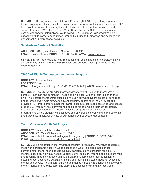**SERVICES**: The Wyman's Teen Outreach Program (TOP)® is a yearlong, evidencebased program combining in-school activities with out-of-school community service. TOP helps youth discover their strengths and cultivate life skills, healthy behaviors, and a sense of purpose. We offer TOP in 5 Metro Nashville Public Schools and a modified version designed for international youth called ITOP. Summer TOP programs help expose youth to career opportunities through field trips to businesses and colleges and enrichment and recreational activities.

#### **Salahadeen Center of Nashville**

**ADDRESS**: 364 Elysian Fields Ct.Nashville,TN.37211 **EMAIL**: scn@scntn.org| **PHONE**: 615-333-0530 | **WWW**: www.scntn.org

**SERVICES**: Provides religious (Islam), educational, social and cultural services, as well as community activities, Friday Eid Services, and comprehensive programs for the younger generation.

#### **YMCA of Middle Tennessee – Achievers Program**

**CONTACT**: Adrianna Flax **LOCATIONS**: Various **EMAIL**: aflax@ymcamidtn.org | **PHONE**: 615-259-9622 | **WWW**: www.ymcamidtn.org

**SERVICES**: The YMCA provides many services for youth. At our 15 membership centers, youth can find community, health and wellness, with their families or on their own. The Y offers membership subsidies, through our Open Doors program, so that no one is turned away. Our YMCA Achievers program, operating in 10 MNPS schools, provides ACT prep, career counseling, career exposure, job-readiness skills, and college prep to 650+ youth. While many young people participate within their school setting, both Y Latino Achievers and Y Black Achievers programs provide weekend programming where students visit colleges and universities, meet working professionals and participate in cultural events, all surrounded by positive, engaged adult.

#### **Youth Villages – YVLifeSet Program**

**CONTACT**: Tawanda Johnson-McDonald **ADDRESS**: 420 Main St. Nashville, Tn 37206 **EMAIL**: tawanda.johnson-mcdonald@youthvillages.org | **PHONE**: 615-250-7200 | **WWW**: www.youthvillages.org/what-we-do/yvlifeset

**SERVICES**: Participation in the YVLifeSet program is voluntary. YVLifeSet specialists meet with participants ages 17-22 at least once a week in a place that is most convenient for them. Young people typically participate in the program for six to 12 months, based on individual needs. Specialists will assist the young people in identifying and reaching in goals in areas such as employment, completing their education or obtaining post-secondary education, finding and maintaining stable housing, accessing mental and physical health care, building and maintain healthy relationships, developing money management skills, parenting skills, and accessing community resources.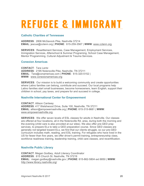### REFUGEE & IMMIGRANT

#### **Catholic Charities of Tennessee**

**ADDRESS**: 2806 McGavock Pike, Nashville 37214 **EMAIL**: jescue@cctenn.org | **PHONE**: 615-259-3567 | **WWW**: www.cctenn.org

**SERVICES**: Resettlement Services, Case Management, Employment Services, Immigration Services, Afterschool & Summer Programing, School Case Management, Mentor Programming, Cultural Adjustment & Trauma Services.

#### **Conexion Americas**

**CONTACT**: Tara Lentz **ADDRESS**: 2195 Nolensville Pike, Nashville, TN 37211 **EMAIL**: Tara@conamericas.com | **PHONE**: 615-320-5152 | **WWW**: www.conexionamericas.org

**SERVICES**: Our mission is to build a welcoming community and create opportunities where Latino families can belong, contribute and succeed. Our local programs help Latino families start small businesses, become homeowners, learn English, support their children in school, pay taxes, and prepare for and succeed in college.

#### **Nashville International Center for Empowerment**

**CONTACT**: Allison Cantway **ADDRESS**: 417 Welshwood Drive, Suite 100, Nashville, TN 37211 **EMAIL**: allison@empowernashville.org | **PHONE**: 615-315-9681 | **WWW**: www.empowernashville.org

**SERVICES**: We offer seven levels of ESL classes for adults in Nashville. Our classes are offered at four locations, all in the Nolensville Rd. area, during both the morning and the evening (child care is also provided at our sites). We also offer pre-GED prep services, to prepare ELs to take a GED preparation course. Since GED classes are generally not targeted toward ELs, we find that our clients struggle, so our pre-GED curriculum includes math, reading, and ESL training. For refugees who have lived in the US for fewer than five years, we offer driver's permit training, entrepreneurship class, workforce readiness training, leadership training, child care classes, and recertification.

#### **Nashville Public Library**

**CONTACT**: Megan Godbey, Adult Literacy Coordinator **ADDRESS**: 615 Church St. Nashville, TN 37219 **EMAIL**: megan.godbey@nashville.gov | **PHONE**: 615-862-5804 ext 6850 | **WWW**: http://www.library.nashville.org/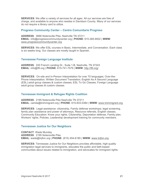**SERVICES**: We offer a variety of services for all ages. All our services are free of charge, and available to anyone who resides in Davidson County. Many of our services do not require a library card to utilize.

#### **Progreso Community Center – Centro Comunitario Progreso**

**ADDRESS**: 5666 Nolensville Pike, Nashville TN 37211 **EMAIL**: info@progresocommunitycenter.org | **PHONE**: 615-365-9002 | **WWW**: www.progresocommunitycenter.org

**SERVICES**: We offer ESL courses in Basic, Intermediate, and Conversation. Each class is six weeks long. Our classes are mostly taught in Spanish.

#### **Tennessee Foreign Language Institute**

**ADDRESS**: 220 French Landing Dr., Suite 1-B, Nashville, TN 37243 **EMAIL**: info@tfli.org | **PHONE**: 615-741-7579 | **WWW**: http://tfli.org/

**SERVICES**: On-site and In-Person Interpretation for over 70 languages; Over-the-Phone Interpretation; Written Document Translation; English As A Second Language (ESL) adult group classes & custom classes; ESL To Go Classes; Foreign Language adult group classes & custom classes.

#### **Tennessee Immigrant & Refugee Rights Coalition**

**ADDRESS**: 2195 Nolensville Pike Nashville TN 37211 **EMAIL**: camila@tnimmigrant.org | **PHONE**: 615-833-0384 | **WWW**: www.tnimmigrant.org

**SERVICES**: Legal assistance: citizenship, Family defense workshops: legal screening, family plan assistance and power of attorneys, Resource referrals, English classes, Community Education: Know your rights, Citizenship, Deportation defense, Family plan, Workers' rights, Policies, Leadership development training for community members.

#### **Tennessee Justice for Our Neighbors**

**CONTACT**: Wade Munday **ADDRESS**: 2195 Nolensville Pike **EMAIL**: wade@tnjfon.org | **PHONE**: (615) 454-6185 | **WWW**: www.tnjfon.org

**SERVICES:** Tennessee Justice for Our Neighbors provides affordable, high-quality immigration legal services to immigrants, educates the public and faith-based communities about issues related to immigration, and advocates for immigrant rights.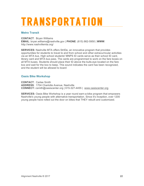### **TRANSPORTATION**

#### **Metro Transit**

**CONTACT**: Bryan Williams **EMAIL**: bryan.williams@nashville.gov | **PHONE**: (615) 862-5950 | **WWW**: http://www.nashvillemta.org/

**SERVICES:** Nashville MTA offers StrIDe, an innovative program that provides opportunities for students to travel to and from school and other extracurricular activities via an MTA bus. High school students' MNPS ID cards serve as their school ID card, library card and MTA bus pass. The cards are programmed to work on the fare boxes on all MTA buses. Students should place their ID above the bulls-eye located on the fare box and wait for the box to beep. This sound indicates the card has been recognized, and the student will be allowed to board

#### **Oasis Bike Workshop**

**CONTACT**: Carlee Smith **ADDRESS**: 1704 Charlotte Avenue, Nashville **CONNECT:** csmith@oasiscenter.org | 615-327-4455 | www.oasiscenter.org

**SERVICES:** Oasis Bike Workshop is a year round earn-a-bike program that empowers Nashville's young people with alternative transportation. Since it's inception, over 1200 young people have rolled out the door on bikes that THEY rebuilt and customized.